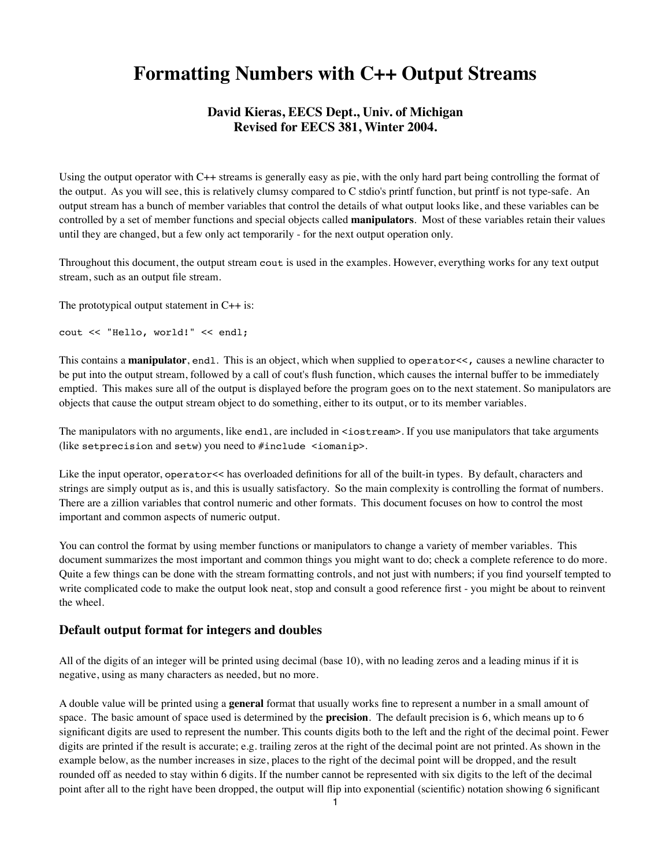# **Formatting Numbers with C++ Output Streams**

# **David Kieras, EECS Dept., Univ. of Michigan Revised for EECS 381, Winter 2004.**

Using the output operator with C++ streams is generally easy as pie, with the only hard part being controlling the format of the output. As you will see, this is relatively clumsy compared to C stdio's printf function, but printf is not type-safe. An output stream has a bunch of member variables that control the details of what output looks like, and these variables can be controlled by a set of member functions and special objects called **manipulators**. Most of these variables retain their values until they are changed, but a few only act temporarily - for the next output operation only.

Throughout this document, the output stream cout is used in the examples. However, everything works for any text output stream, such as an output file stream.

The prototypical output statement in  $C++$  is:

cout << "Hello, world!" << endl;

This contains a **manipulator**, endl. This is an object, which when supplied to operator<<, causes a newline character to be put into the output stream, followed by a call of cout's flush function, which causes the internal buffer to be immediately emptied. This makes sure all of the output is displayed before the program goes on to the next statement. So manipulators are objects that cause the output stream object to do something, either to its output, or to its member variables.

The manipulators with no arguments, like endl, are included in <iostream>. If you use manipulators that take arguments (like setprecision and setw) you need to #include <iomanip>.

Like the input operator, operator<< has overloaded definitions for all of the built-in types. By default, characters and strings are simply output as is, and this is usually satisfactory. So the main complexity is controlling the format of numbers. There are a zillion variables that control numeric and other formats. This document focuses on how to control the most important and common aspects of numeric output.

You can control the format by using member functions or manipulators to change a variety of member variables. This document summarizes the most important and common things you might want to do; check a complete reference to do more. Quite a few things can be done with the stream formatting controls, and not just with numbers; if you find yourself tempted to write complicated code to make the output look neat, stop and consult a good reference first - you might be about to reinvent the wheel.

#### **Default output format for integers and doubles**

All of the digits of an integer will be printed using decimal (base 10), with no leading zeros and a leading minus if it is negative, using as many characters as needed, but no more.

A double value will be printed using a **general** format that usually works fine to represent a number in a small amount of space. The basic amount of space used is determined by the **precision**. The default precision is 6, which means up to 6 significant digits are used to represent the number. This counts digits both to the left and the right of the decimal point. Fewer digits are printed if the result is accurate; e.g. trailing zeros at the right of the decimal point are not printed. As shown in the example below, as the number increases in size, places to the right of the decimal point will be dropped, and the result rounded off as needed to stay within 6 digits. If the number cannot be represented with six digits to the left of the decimal point after all to the right have been dropped, the output will flip into exponential (scientific) notation showing 6 significant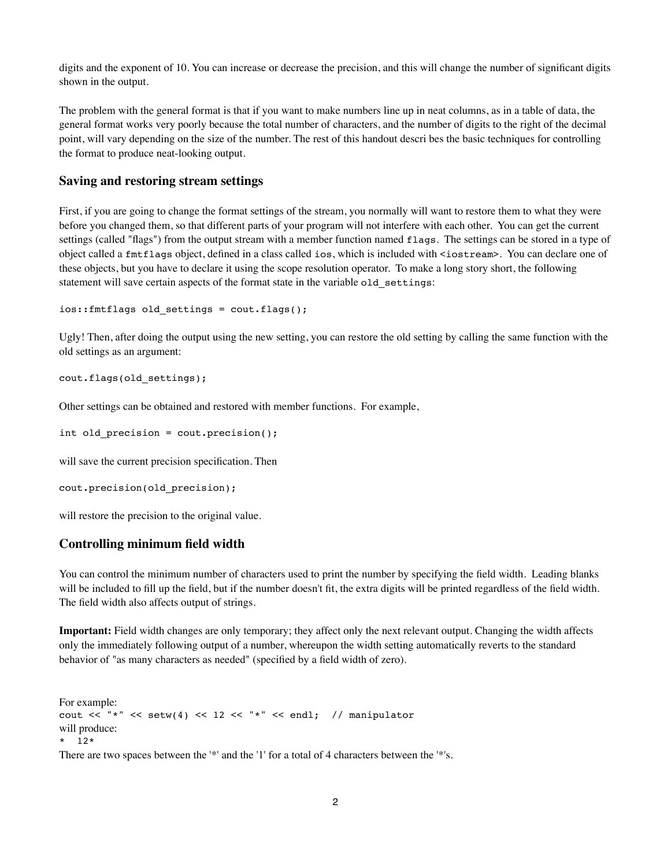digits and the exponent of 10. You can increase or decrease the precision, and this will change the number of significant digits shown in the output.

The problem with the general format is that if you want to make numbers line up in neat columns, as in a table of data, the general format works very poorly because the total number of characters, and the number of digits to the right of the decimal point, will vary depending on the size of the number. The rest of this handout descri bes the basic techniques for controlling the format to produce neat-looking output.

#### **Saving and restoring stream settings**

First, if you are going to change the format settings of the stream, you normally will want to restore them to what they were before you changed them, so that different parts of your program will not interfere with each other. You can get the current settings (called "flags") from the output stream with a member function named flags. The settings can be stored in a type of object called a fmtflags object, defined in a class called ios, which is included with <iostream>. You can declare one of these objects, but you have to declare it using the scope resolution operator. To make a long story short, the following statement will save certain aspects of the format state in the variable old\_settings:

```
ios::fmtflags old_settings = cout.flags();
```
Ugly! Then, after doing the output using the new setting, you can restore the old setting by calling the same function with the old settings as an argument:

```
cout.flags(old_settings);
```
Other settings can be obtained and restored with member functions. For example,

```
int old precision = cout.precision();
```
will save the current precision specification. Then

```
cout.precision(old_precision);
```
will restore the precision to the original value.

# **Controlling minimum field width**

You can control the minimum number of characters used to print the number by specifying the field width. Leading blanks will be included to fill up the field, but if the number doesn't fit, the extra digits will be printed regardless of the field width. The field width also affects output of strings.

**Important:** Field width changes are only temporary; they affect only the next relevant output. Changing the width affects only the immediately following output of a number, whereupon the width setting automatically reverts to the standard behavior of "as many characters as needed" (specified by a field width of zero).

For example: cout << "\*" << setw(4) << 12 << "\*" << endl; // manipulator will produce: \* 12\* There are two spaces between the '\*' and the '1' for a total of 4 characters between the '\*'s.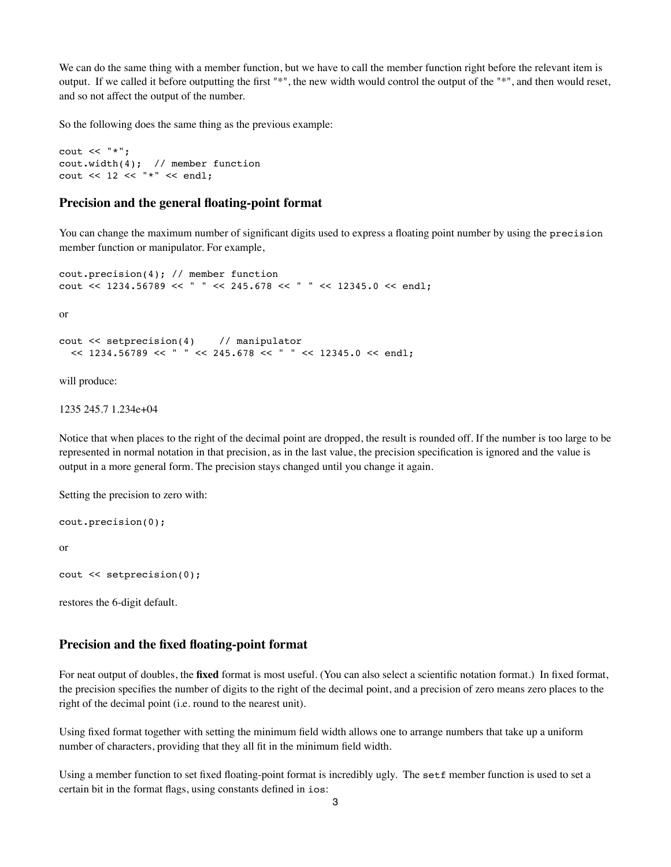We can do the same thing with a member function, but we have to call the member function right before the relevant item is output. If we called it before outputting the first "\*", the new width would control the output of the "\*", and then would reset, and so not affect the output of the number.

So the following does the same thing as the previous example:

```
cout << "*";
cout.width(4); // member function
cout << 12 << "*" << endl:
```
## **Precision and the general floating-point format**

You can change the maximum number of significant digits used to express a floating point number by using the precision member function or manipulator. For example,

```
cout.precision(4); // member function
cout << 1234.56789 << " " << 245.678 << " " << 12345.0 << endl;
```
or

```
cout << setprecision(4) // manipulator
  << 1234.56789 << " " << 245.678 << " " << 12345.0 << end:
```
will produce:

1235 245.7 1.234e+04

Notice that when places to the right of the decimal point are dropped, the result is rounded off. If the number is too large to be represented in normal notation in that precision, as in the last value, the precision specification is ignored and the value is output in a more general form. The precision stays changed until you change it again.

Setting the precision to zero with:

```
cout.precision(0);
or 
cout << setprecision(0);
```
restores the 6-digit default.

#### **Precision and the fixed floating-point format**

For neat output of doubles, the **fixed** format is most useful. (You can also select a scientific notation format.) In fixed format, the precision specifies the number of digits to the right of the decimal point, and a precision of zero means zero places to the right of the decimal point (i.e. round to the nearest unit).

Using fixed format together with setting the minimum field width allows one to arrange numbers that take up a uniform number of characters, providing that they all fit in the minimum field width.

Using a member function to set fixed floating-point format is incredibly ugly. The setf member function is used to set a certain bit in the format flags, using constants defined in ios: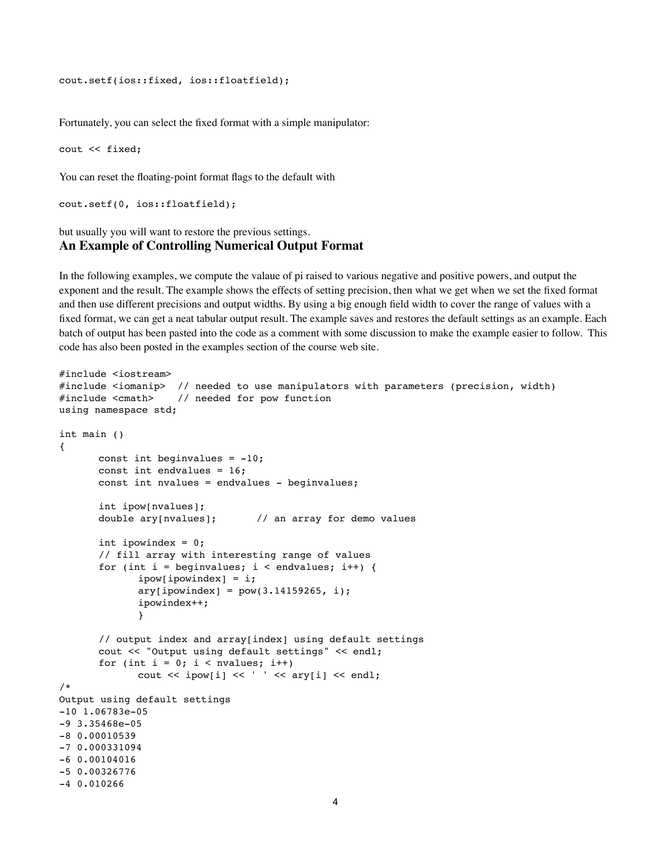```
cout.setf(ios::fixed, ios::floatfield);
```
Fortunately, you can select the fixed format with a simple manipulator:

cout << fixed;

You can reset the floating-point format flags to the default with

```
cout.setf(0, ios::floatfield);
```
## but usually you will want to restore the previous settings. **An Example of Controlling Numerical Output Format**

In the following examples, we compute the valaue of pi raised to various negative and positive powers, and output the exponent and the result. The example shows the effects of setting precision, then what we get when we set the fixed format and then use different precisions and output widths. By using a big enough field width to cover the range of values with a fixed format, we can get a neat tabular output result. The example saves and restores the default settings as an example. Each batch of output has been pasted into the code as a comment with some discussion to make the example easier to follow. This code has also been posted in the examples section of the course web site.

```
#include <iostream>
#include <iomanip> // needed to use manipulators with parameters (precision, width)
#include <cmath> // needed for pow function
using namespace std;
int main ()
{
      const int beginvalues = -10;
      const int endvalues = 16;
      const int nvalues = endvalues - beginvalues;
      int ipow[nvalues];
      double ary[nvalues]; // an array for demo values
      int ipowindex = 0;
       // fill array with interesting range of values
      for (int i = beginvalues; i < endvalues; i++) {
             ipow[powindex] = i;ary[ipowindex] = pow(3.14159265, i);! ! ipowindex++;
\}// output index and array[index] using default settings
       cout << "Output using default settings" << endl;
       for (int i = 0; i < nvalues; i++)\text{cut} \ll \text{ipow}[i] \ll ' ' \ll \text{ary}[i] \ll \text{end};
/* 
Output using default settings
-10 1.06783e-05
-9 3.35468e-05
-8 0.00010539
-7 0.000331094
-6 0.00104016
-5 0.00326776
-4 0.010266
```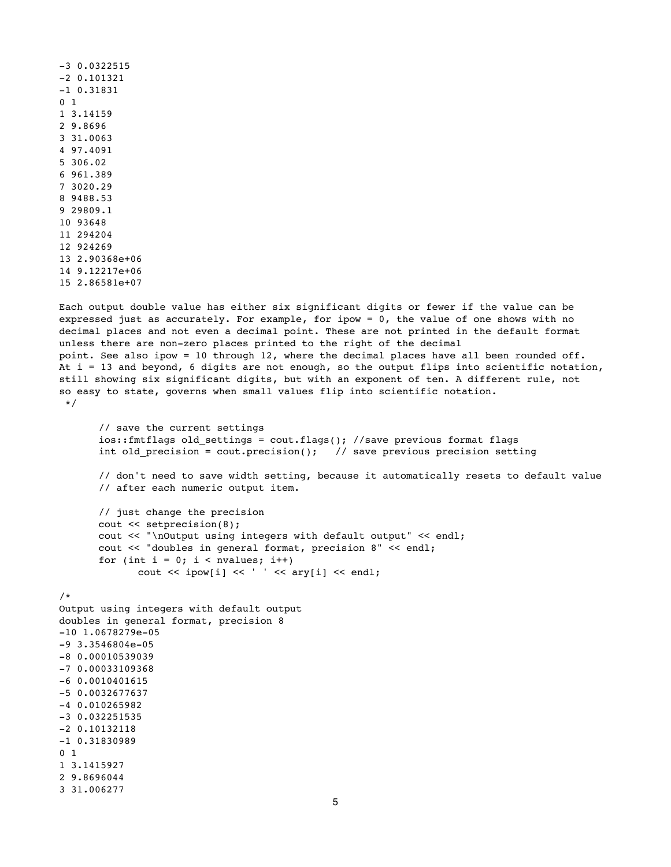```
-3 0.0322515
-2 0.101321
-1 0.31831
0 1
1 3.14159
2 9.8696
3 31.0063
4 97.4091
5 306.02
6 961.389
7 3020.29
8 9488.53
9 29809.1
10 93648
11 294204
12 924269
13 2.90368e+06
14 9.12217e+06
15 2.86581e+07
```
Each output double value has either six significant digits or fewer if the value can be expressed just as accurately. For example, for ipow = 0, the value of one shows with no decimal places and not even a decimal point. These are not printed in the default format unless there are non-zero places printed to the right of the decimal point. See also ipow = 10 through 12, where the decimal places have all been rounded off. At  $i = 13$  and beyond, 6 digits are not enough, so the output flips into scientific notation, still showing six significant digits, but with an exponent of ten. A different rule, not so easy to state, governs when small values flip into scientific notation.  $\star/$ 

```
// save the current settings
ios::fmtflags old_settings = cout.flags(); //save previous format flags
int old precision = cout.precision(); \frac{1}{2} save previous precision setting
```
// don't need to save width setting, because it automatically resets to default value // after each numeric output item.

// just change the precision cout << setprecision(8); cout << "\nOutput using integers with default output" << endl; cout << "doubles in general format, precision 8" << endl; for (int  $i = 0$ ;  $i <$  nvalues;  $i++$ )  $\text{cout} \ll \text{ipow}[i] \ll ' ' \ll \text{ary}[i] \ll \text{end}$ ;

#### /\*

```
Output using integers with default output
doubles in general format, precision 8
-10 1.0678279e-05
-9 3.3546804e-05
-8 0.00010539039
-7 0.00033109368
-6 0.0010401615
-5 0.0032677637
-4 0.010265982
-3 0.032251535
-2 0.10132118
-1 0.31830989
0 1
1 3.1415927
2 9.8696044
3 31.006277
```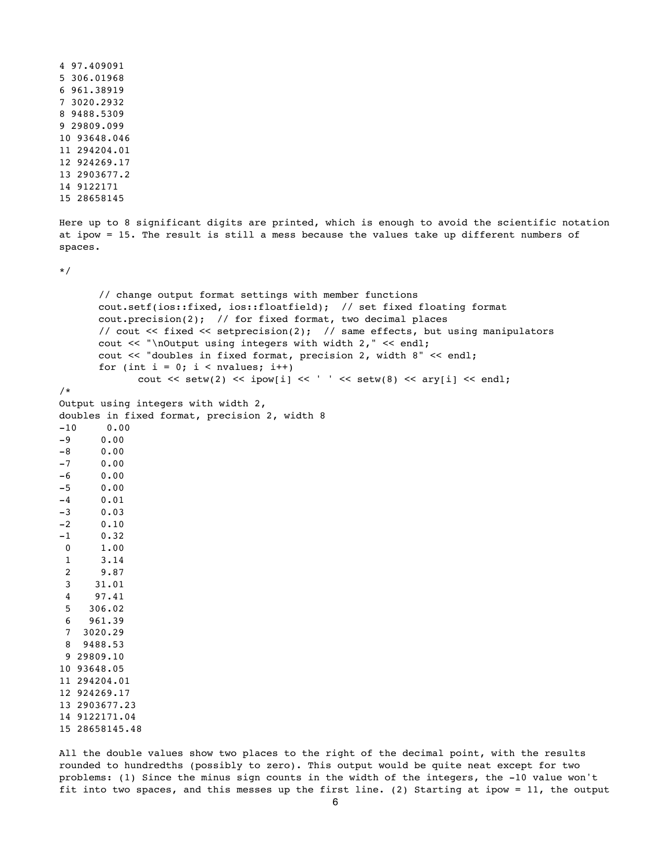```
4 97.409091
5 306.01968
6 961.38919
7 3020.2932
8 9488.5309
9 29809.099
10 93648.046
11 294204.01
12 924269.17
13 2903677.2
14 9122171
15 28658145
Here up to 8 significant digits are printed, which is enough to avoid the scientific notation
at ipow = 15. The result is still a mess because the values take up different numbers of 
spaces.
*/
       // change output format settings with member functions
      cout.setf(ios::fixed, ios::floatfield); // set fixed floating format
      cout.precision(2); // for fixed format, two decimal places
      // cout << fixed << setprecision(2); // same effects, but using manipulators
      cout << "\nOutput using integers with width 2," << endl;
      cout << "doubles in fixed format, precision 2, width 8" << endl;
       for (int i = 0; i < nvalues; i^{++})
             \text{cut} \ll \text{setw}(2) \ll \text{ipow}[i] \ll ' ' \ll \text{setw}(8) \ll \text{ary}[i] \ll \text{end}/*
Output using integers with width 2,
doubles in fixed format, precision 2, width 8
-10 0.00
-9 0.00
-8 0.00
-7 0.00
-6 0.00
-5 0.00
-4 0.01
-3 0.03
-2 0.10
-1 0.32
  0 1.00
  1 3.14
  2 9.87
  3 31.01
  4 97.41
  5 306.02
  6 961.39
  7 3020.29
  8 9488.53
  9 29809.10
10 93648.05
11 294204.01
12 924269.17
13 2903677.23
14 9122171.04
15 28658145.48
```
All the double values show two places to the right of the decimal point, with the results rounded to hundredths (possibly to zero). This output would be quite neat except for two problems: (1) Since the minus sign counts in the width of the integers, the -10 value won't fit into two spaces, and this messes up the first line. (2) Starting at ipow = 11, the output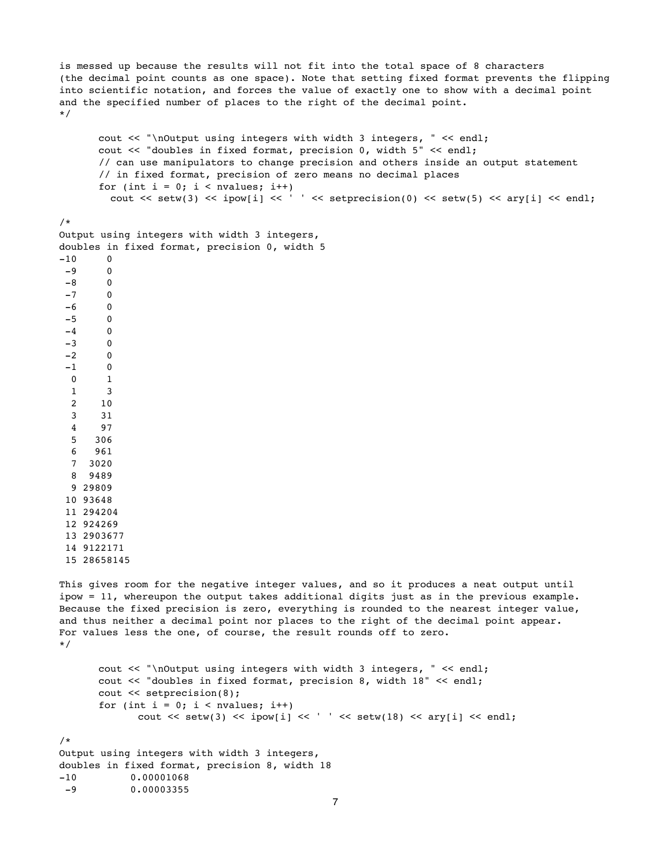is messed up because the results will not fit into the total space of 8 characters (the decimal point counts as one space). Note that setting fixed format prevents the flipping into scientific notation, and forces the value of exactly one to show with a decimal point and the specified number of places to the right of the decimal point. \*/

```
cout << "\nOutput using integers with width 3 integers, " << endl;
cout << "doubles in fixed format, precision 0, width 5" << endl;
// can use manipulators to change precision and others inside an output statement
// in fixed format, precision of zero means no decimal places
for (int i = 0; i < nvalues; i++)cout << setw(3) << ipow[i] << ' ' << setprecision(0) << setw(5) << ary[i] << endl;
```
/\* Output using integers with width 3 integers, doubles in fixed format, precision 0, width 5  $-10$  0  $-9$  0  $-8$  0  $-7$  0  $-6$  0  $-5$  0  $-4$  0  $-3$  0  $-2$  0  $-1$  0 0 1 1 3 2 10 3 31 4 97 5 306 6 961 7 3020 8 9489 9 29809 10 93648 11 294204 12 924269 13 2903677 14 9122171 15 28658145 This gives room for the negative integer values, and so it produces a neat output until ipow = 11, whereupon the output takes additional digits just as in the previous example. Because the fixed precision is zero, everything is rounded to the nearest integer value, and thus neither a decimal point nor places to the right of the decimal point appear. For values less the one, of course, the result rounds off to zero. \*/

```
cout << "\nOutput using integers with width 3 integers, " << endl;
       cout << "doubles in fixed format, precision 8, width 18" << endl;
       cout << setprecision(8);
       for (int i = 0; i < nvalues; i++)\text{cut} \ll \text{setw}(3) \ll \text{ipow}[i] \ll ' ' \ll \text{setw}(18) \ll \text{ary}[i] \ll \text{end};
Output using integers with width 3 integers, 
doubles in fixed format, precision 8, width 18
```
-10 0.00001068 -9 0.00003355

/\*